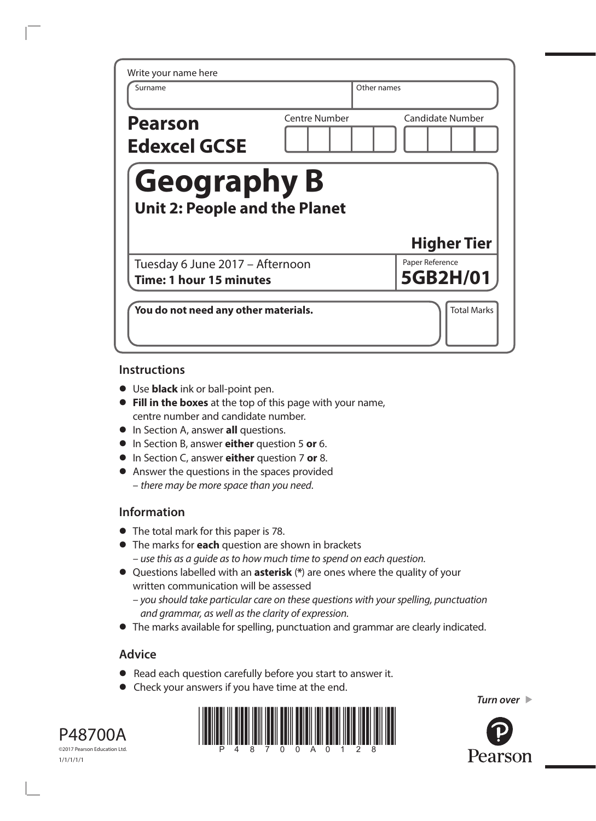| Surname                                                           | Other names          |                             |
|-------------------------------------------------------------------|----------------------|-----------------------------|
| <b>Pearson</b><br><b>Edexcel GCSE</b>                             | <b>Centre Number</b> | <b>Candidate Number</b>     |
| <b>Geography B</b><br><b>Unit 2: People and the Planet</b>        |                      |                             |
|                                                                   |                      |                             |
|                                                                   |                      | <b>Higher Tier</b>          |
| Tuesday 6 June 2017 - Afternoon<br><b>Time: 1 hour 15 minutes</b> |                      | Paper Reference<br>5GB2H/01 |

### **Instructions**

- **•** Use **black** ink or ball-point pen.
- **• Fill in the boxes** at the top of this page with your name, centre number and candidate number.
- **•** In Section A, answer **all** questions.
- **•** In Section B, answer **either** question 5 **or** 6.
- **•** In Section C, answer **either** question 7 **or** 8.
- **•** Answer the questions in the spaces provided – *there may be more space than you need*.

# **Information**

- **•** The total mark for this paper is 78.
- **•** The marks for **each** question are shown in brackets *– use this as a guide as to how much time to spend on each question.*
- **•** Questions labelled with an **asterisk** (**\***) are ones where the quality of your written communication will be assessed
	- *you should take particular care on these questions with your spelling, punctuation and grammar, as well as the clarity of expression.*
- **•** The marks available for spelling, punctuation and grammar are clearly indicated.

# **Advice**

- **•** Read each question carefully before you start to answer it.
- **•** Check your answers if you have time at the end.

*Turn over Turn over* 





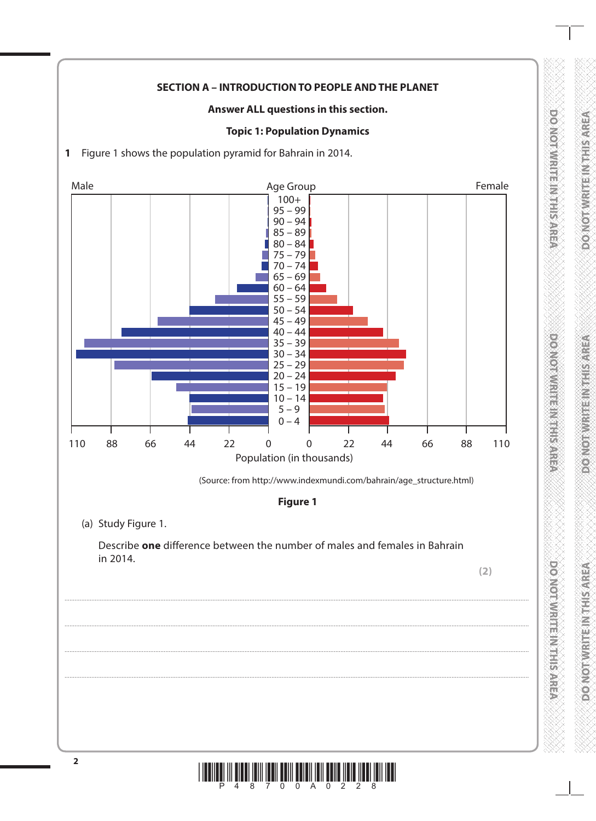# **SECTION A - INTRODUCTION TO PEOPLE AND THE PLANET**

# Answer ALL questions in this section.

# **Topic 1: Population Dynamics**

 $\mathbf{1}$ Figure 1 shows the population pyramid for Bahrain in 2014.

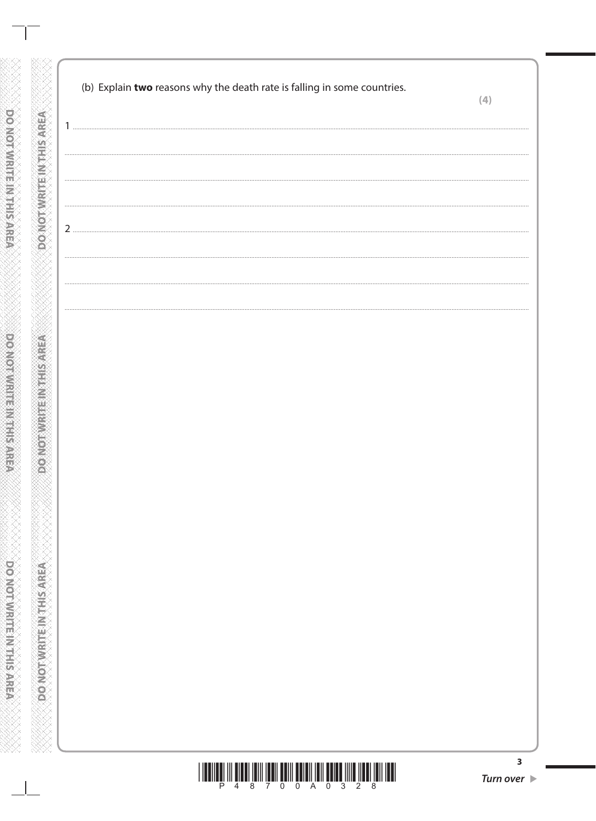| (b) Explain two reasons why the death rate is falling in some countries. | (4) |
|--------------------------------------------------------------------------|-----|
| 1                                                                        |     |
|                                                                          |     |
|                                                                          |     |
|                                                                          |     |
| $\overline{2}$                                                           |     |
|                                                                          |     |
|                                                                          |     |
|                                                                          |     |
|                                                                          |     |
|                                                                          |     |
|                                                                          |     |
|                                                                          |     |
|                                                                          |     |
|                                                                          |     |
|                                                                          |     |
|                                                                          |     |
|                                                                          |     |
|                                                                          |     |
|                                                                          |     |
|                                                                          |     |
|                                                                          |     |
|                                                                          |     |
|                                                                          |     |
|                                                                          |     |
|                                                                          |     |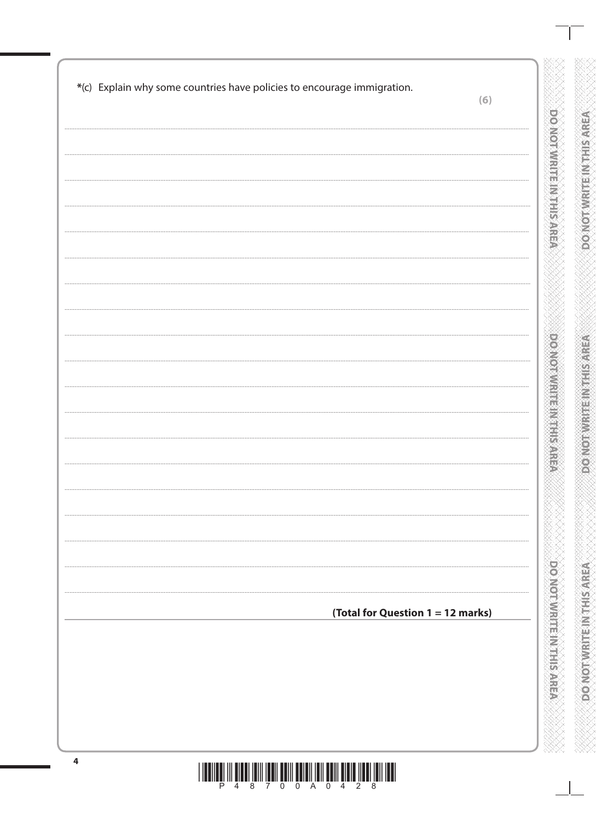| .<br>(Total for Question 1 = 12 marks) | *(c) Explain why some countries have policies to encourage immigration. | (6) |
|----------------------------------------|-------------------------------------------------------------------------|-----|
|                                        |                                                                         |     |
|                                        |                                                                         |     |
|                                        |                                                                         |     |
|                                        |                                                                         |     |
|                                        |                                                                         |     |
|                                        |                                                                         |     |
|                                        |                                                                         |     |
|                                        |                                                                         |     |
|                                        |                                                                         |     |
|                                        |                                                                         |     |
|                                        |                                                                         |     |
|                                        |                                                                         |     |
|                                        |                                                                         |     |
|                                        |                                                                         |     |
|                                        |                                                                         |     |
|                                        |                                                                         |     |
|                                        |                                                                         |     |
|                                        |                                                                         |     |
|                                        |                                                                         |     |
|                                        |                                                                         |     |
|                                        |                                                                         |     |
|                                        |                                                                         |     |
|                                        |                                                                         |     |
|                                        |                                                                         |     |
|                                        |                                                                         |     |

 $\begin{array}{c|c|c|c|c|c|c|c|c} \hline \text{I} & \text{II} & \text{II} & \text{II} & \text{II} & \text{II} & \text{II} & \text{II} & \text{II} & \text{II} & \text{II} & \text{II} & \text{II} & \text{II} & \text{II} & \text{II} & \text{II} & \text{II} & \text{II} & \text{II} & \text{II} & \text{II} & \text{II} & \text{II} & \text{II} & \text{II} & \text{II} & \text{II} & \text{II} & \text{II} & \text{II} & \text{II} & \text$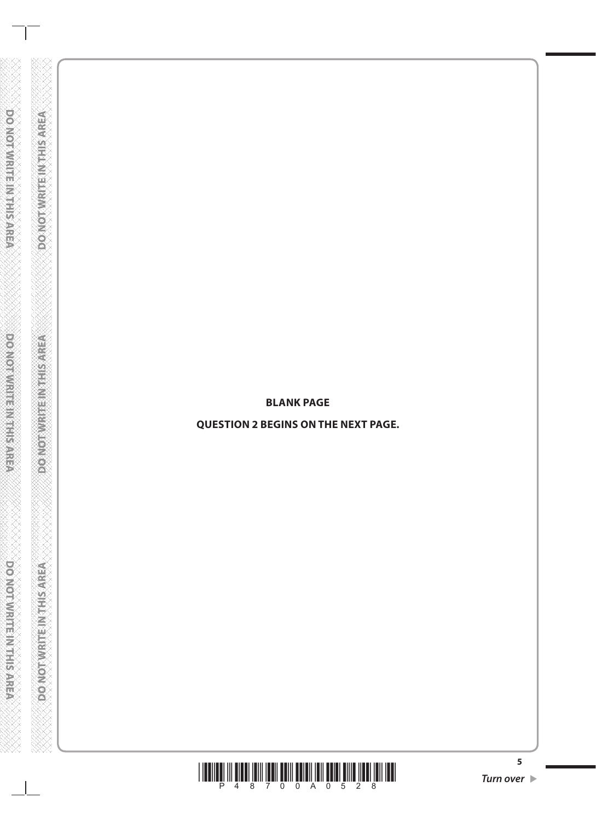#### **BLANK PAGE**

**DONOT WRITE IN THIS AREA** 

**DONOTWEERINTHSAREA** 

**DO NOT WRITEIN THIS AREA** 

**QUESTION 2 BEGINS ON THE NEXT PAGE.**



**5**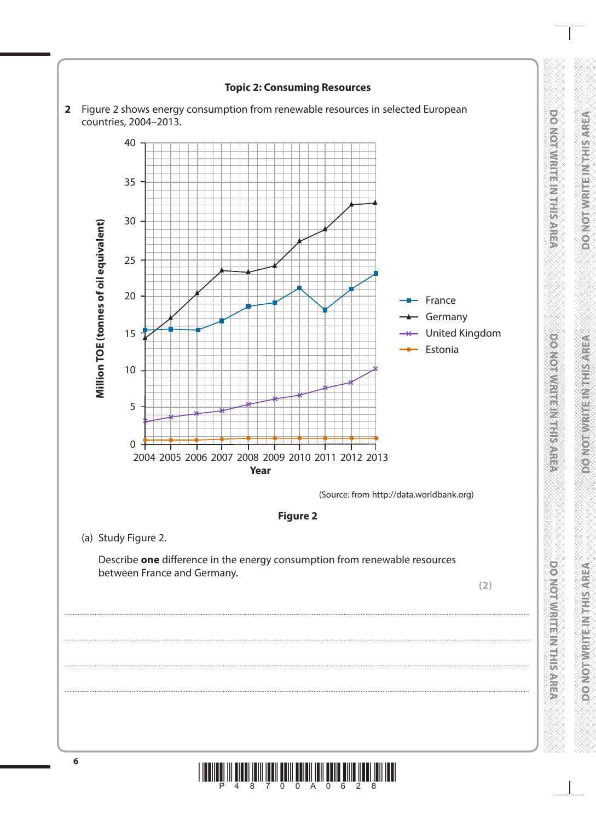**Topic 2: Consuming Resources** 2 Figure 2 shows energy consumption from renewable resources in selected European countries, 2004-2013. 40 35 30 Million TOE (tonnes of oil equivalent) 25 20 France Germany - United Kingdom 15 - Estonia 10 5  $\overline{0}$ 2004 2005 2006 2007 2008 2009 2010 2011 2012 2013 Year (Source: from http://data.worldbank.org) **Figure 2** (a) Study Figure 2. Describe one difference in the energy consumption from renewable resources between France and Germany.  $(2)$ 

DO NOT MRITE MATHIS AREA

**DOMOTOWRITE MEET SARE** 

**DO NOI WARTER NOISARE**A

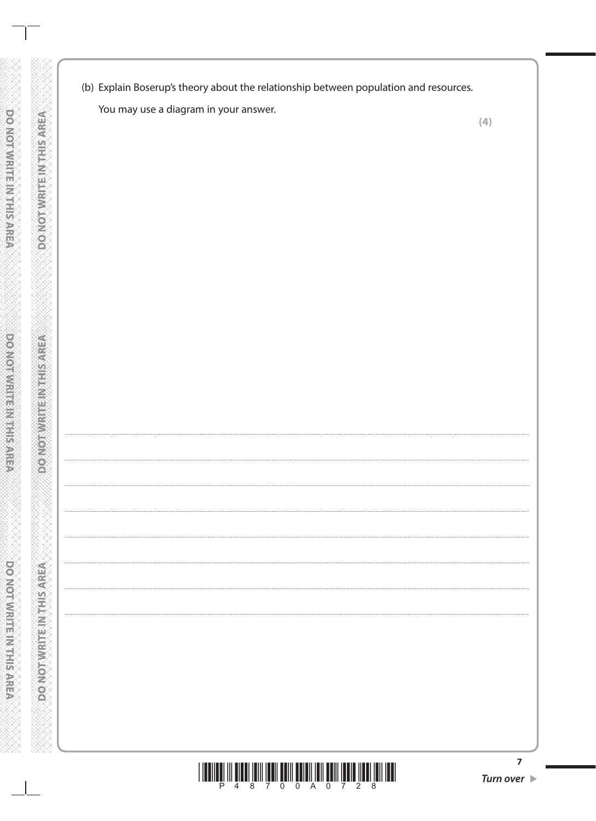(b) Explain Boserup's theory about the relationship between population and resources.

You may use a diagram in your answer.

DO NOT WRITE IN THIS AREA

**DO NOT WRITE IN THIS AREA** 

**DO NOT WRITE IN THIS AREA** 



 $\overline{7}$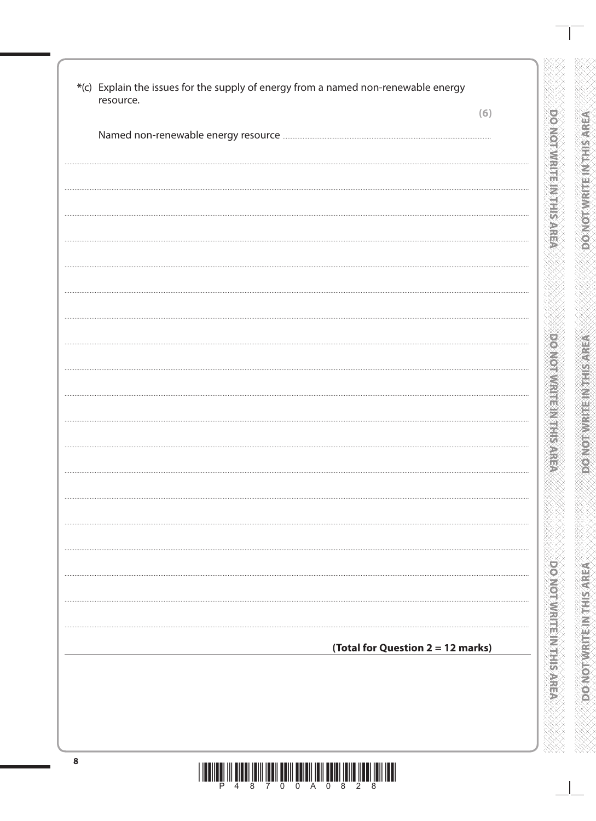| resource. | (6)                               |
|-----------|-----------------------------------|
|           |                                   |
|           |                                   |
|           |                                   |
|           |                                   |
|           |                                   |
|           |                                   |
|           |                                   |
|           |                                   |
|           |                                   |
|           |                                   |
|           |                                   |
|           |                                   |
|           |                                   |
|           |                                   |
|           |                                   |
|           |                                   |
|           |                                   |
|           |                                   |
|           |                                   |
|           |                                   |
|           |                                   |
|           |                                   |
|           |                                   |
|           |                                   |
|           |                                   |
|           |                                   |
|           | (Total for Question 2 = 12 marks) |
|           |                                   |
|           |                                   |
|           |                                   |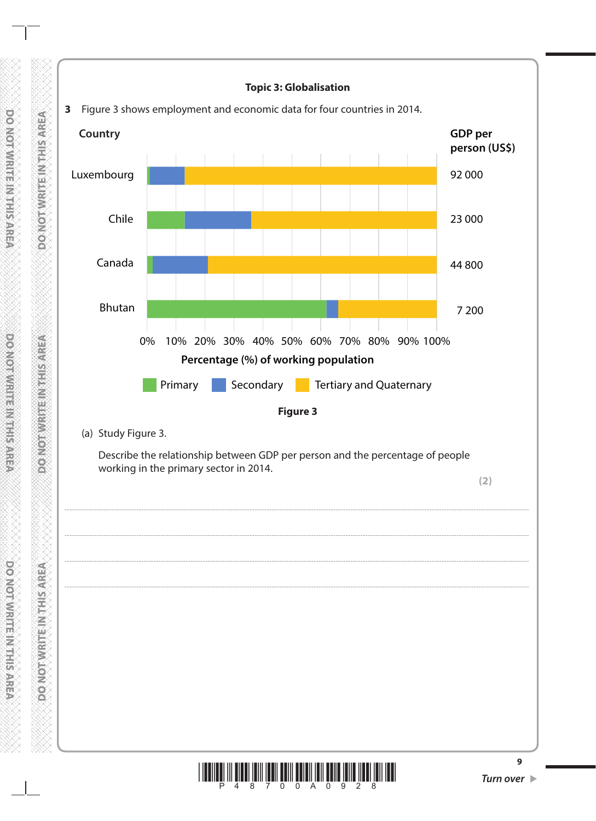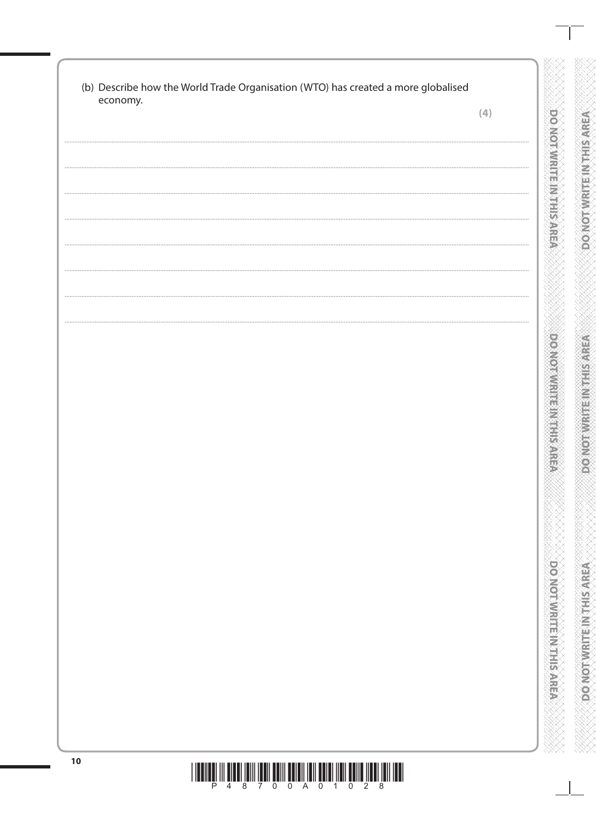| economy. | (4) |  |
|----------|-----|--|
|          |     |  |
|          |     |  |
|          |     |  |
|          |     |  |
|          |     |  |
|          |     |  |
|          |     |  |
|          |     |  |
|          |     |  |
|          |     |  |
|          |     |  |
|          |     |  |
|          |     |  |
|          |     |  |
|          |     |  |
|          |     |  |
|          |     |  |
|          |     |  |
|          |     |  |
|          |     |  |
|          |     |  |
|          |     |  |
|          |     |  |
|          |     |  |
|          |     |  |
|          |     |  |
|          |     |  |
|          |     |  |
|          |     |  |
|          |     |  |
|          |     |  |
|          |     |  |
|          |     |  |
|          |     |  |
|          |     |  |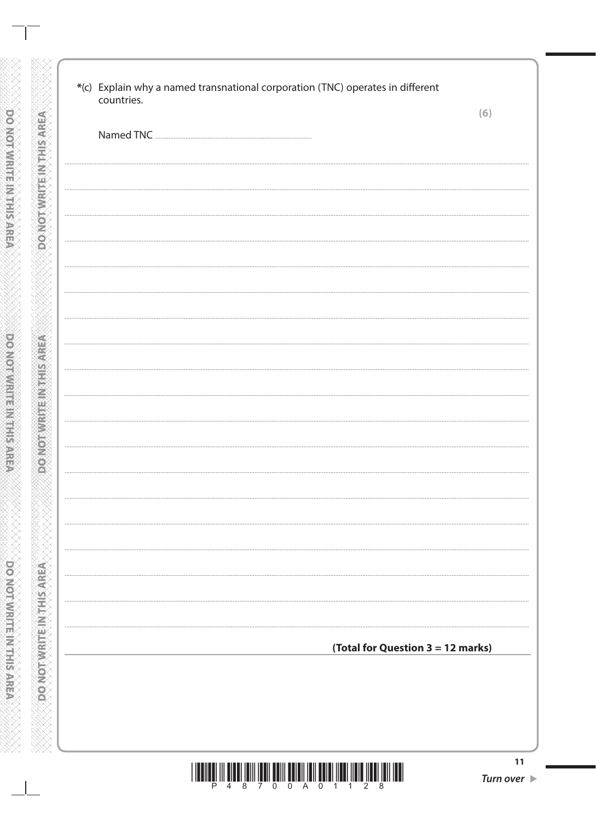| (6)                               |
|-----------------------------------|
|                                   |
|                                   |
|                                   |
|                                   |
|                                   |
|                                   |
|                                   |
|                                   |
|                                   |
|                                   |
|                                   |
|                                   |
|                                   |
|                                   |
|                                   |
|                                   |
|                                   |
|                                   |
|                                   |
|                                   |
|                                   |
|                                   |
|                                   |
|                                   |
|                                   |
|                                   |
| (Total for Question 3 = 12 marks) |
|                                   |
|                                   |

**DOMOTWRITE INTHIS AREA** 

DO NOT WRITEIN THIS AREA

DO NOT WRITE IN THIS AREA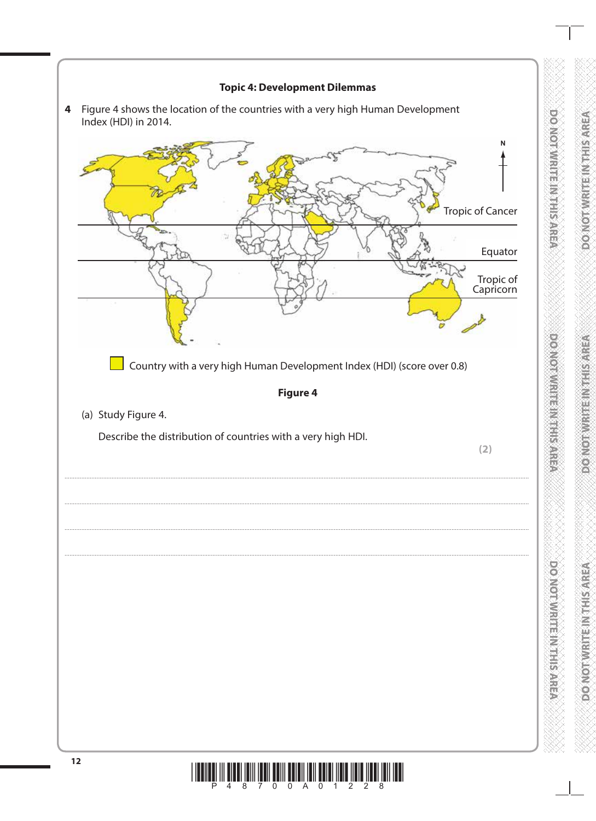**Topic 4: Development Dilemmas** Figure 4 shows the location of the countries with a very high Human Development  $\overline{\mathbf{4}}$ Index (HDI) in 2014. **Tropic of Cancer** Equator Tropic of<br>Capricorn Country with a very high Human Development Index (HDI) (score over 0.8) Figure 4 (a) Study Figure 4. Describe the distribution of countries with a very high HDI.  $(2)$ 

**DOONORWER IN NEW REAR** 

**DO NOIMENTE MARKER** 

**DO NOT WRITE INTHIS AREA** 

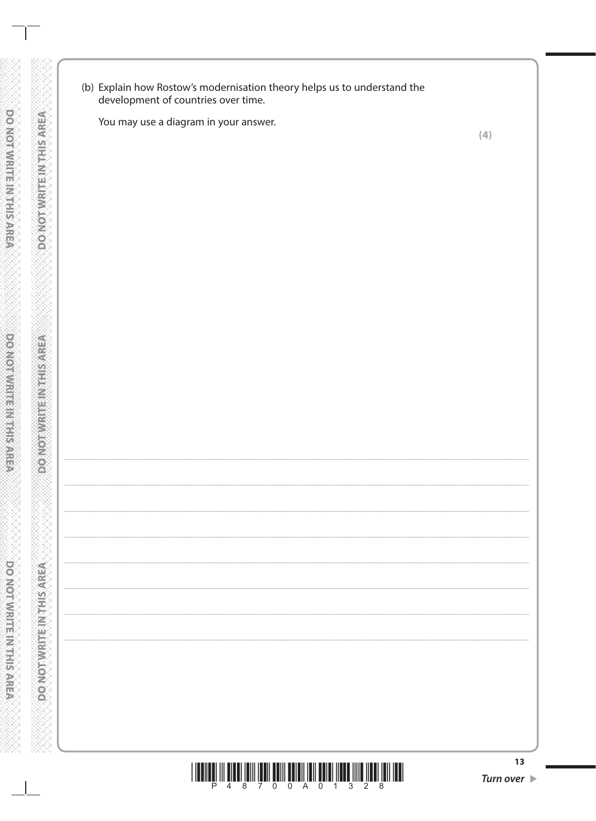(b) Explain how Rostow's modernisation theory helps us to understand the development of countries over time.

You may use a diagram in your answer.

DO NOT WRITE IN THIS AREA

**DO NOT WRITE INTHIS AREA** 

**DO NOT WRITEIN THIS AREA** 

 $(4)$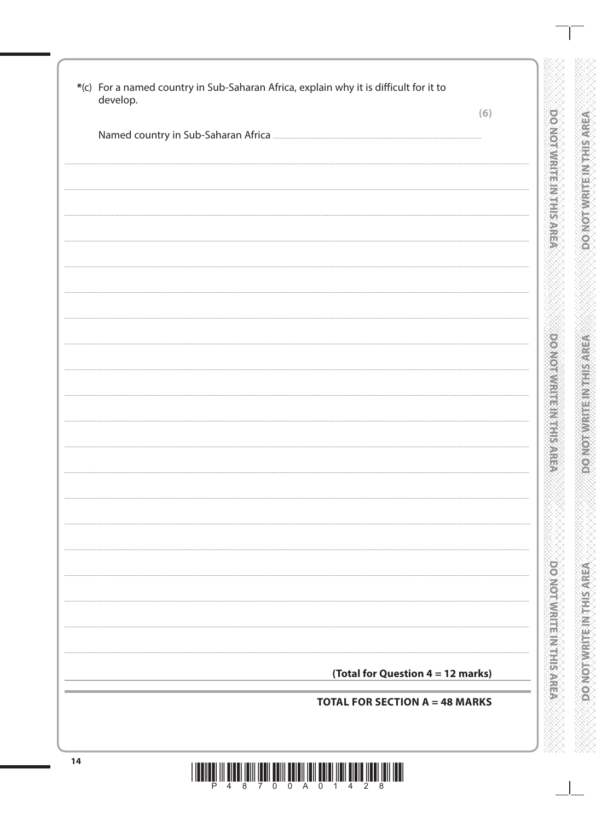| develop. | (6)                                   |
|----------|---------------------------------------|
|          |                                       |
|          |                                       |
|          |                                       |
|          |                                       |
|          |                                       |
|          |                                       |
|          |                                       |
|          |                                       |
|          |                                       |
|          |                                       |
|          |                                       |
|          |                                       |
|          |                                       |
|          |                                       |
|          |                                       |
|          |                                       |
|          |                                       |
|          |                                       |
|          |                                       |
|          |                                       |
|          |                                       |
|          |                                       |
|          |                                       |
|          |                                       |
|          |                                       |
|          |                                       |
|          | (Total for Question 4 = 12 marks)     |
|          | <b>TOTAL FOR SECTION A = 48 MARKS</b> |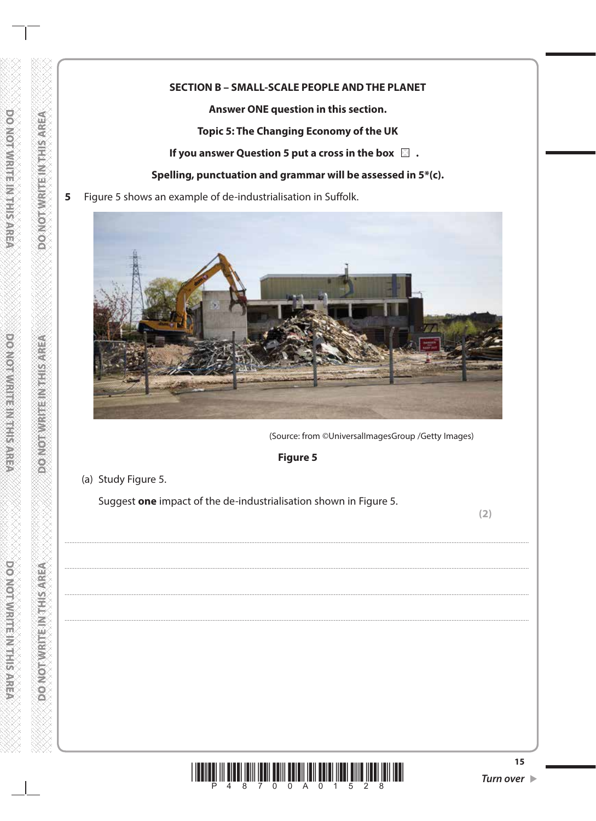#### **SECTION B - SMALL-SCALE PEOPLE AND THE PLANET**

#### Answer ONE question in this section.

#### **Topic 5: The Changing Economy of the UK**

#### If you answer Question 5 put a cross in the box  $\Xi$ .

#### Spelling, punctuation and grammar will be assessed in 5\*(c).

#### Figure 5 shows an example of de-industrialisation in Suffolk. 5



(Source: from ©UniversalImagesGroup /Getty Images)

#### **Figure 5**

(a) Study Figure 5.

Suggest one impact of the de-industrialisation shown in Figure 5.

 $(2)$ 



**DO NOT WRITE IN THIS AREA**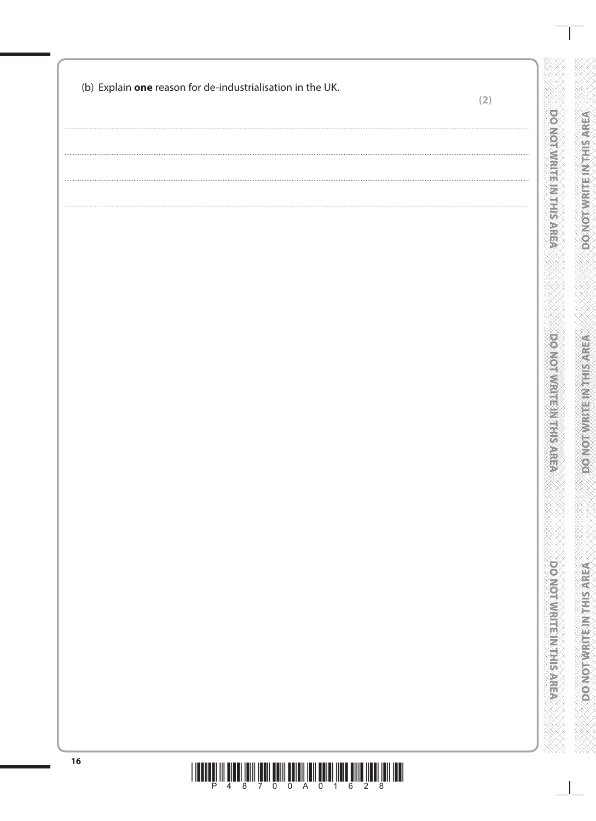| (b) Explain one reason for de-industrialisation in the UK. | (2)                       |
|------------------------------------------------------------|---------------------------|
|                                                            |                           |
|                                                            | <b>DOMOTHER PRESENTED</b> |
|                                                            |                           |
|                                                            | $\frac{1}{2}$             |
|                                                            |                           |
|                                                            | <b>Mountain Property</b>  |
|                                                            | ⋗                         |
|                                                            |                           |
|                                                            |                           |
|                                                            | DO NOT WRITE INTHIS AREA  |
|                                                            |                           |
| 16                                                         |                           |

 $0$  A  $0$  1 6 2 8 8 7  $\overline{0}$ F  $\overline{4}$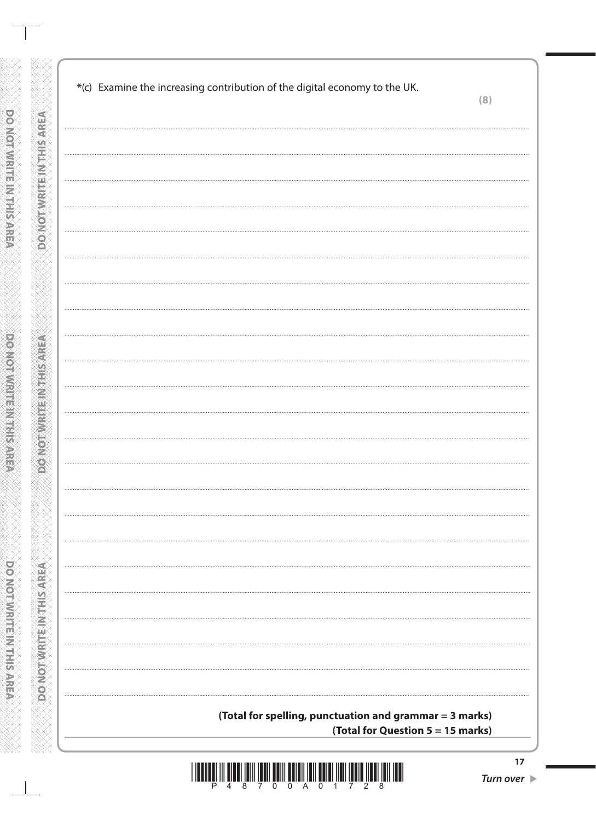|                                  | *(c) Examine the increasing contribution of the digital economy to the UK.                   | (8) |
|----------------------------------|----------------------------------------------------------------------------------------------|-----|
|                                  |                                                                                              |     |
|                                  |                                                                                              |     |
|                                  |                                                                                              |     |
| <b>DO NOTE WE DENNE DESCRIPT</b> |                                                                                              |     |
|                                  |                                                                                              |     |
|                                  |                                                                                              |     |
|                                  |                                                                                              |     |
|                                  |                                                                                              |     |
|                                  |                                                                                              |     |
|                                  |                                                                                              |     |
|                                  |                                                                                              |     |
|                                  |                                                                                              |     |
| $\sim$                           |                                                                                              |     |
|                                  |                                                                                              |     |
|                                  |                                                                                              |     |
|                                  |                                                                                              |     |
| DO NOT WRITE IN THIS AREA        |                                                                                              |     |
|                                  | $\cdots$                                                                                     |     |
|                                  |                                                                                              |     |
|                                  |                                                                                              |     |
|                                  |                                                                                              |     |
|                                  | (Total for spelling, punctuation and grammar = 3 marks)<br>(Total for Question 5 = 15 marks) |     |
|                                  |                                                                                              |     |



 $17$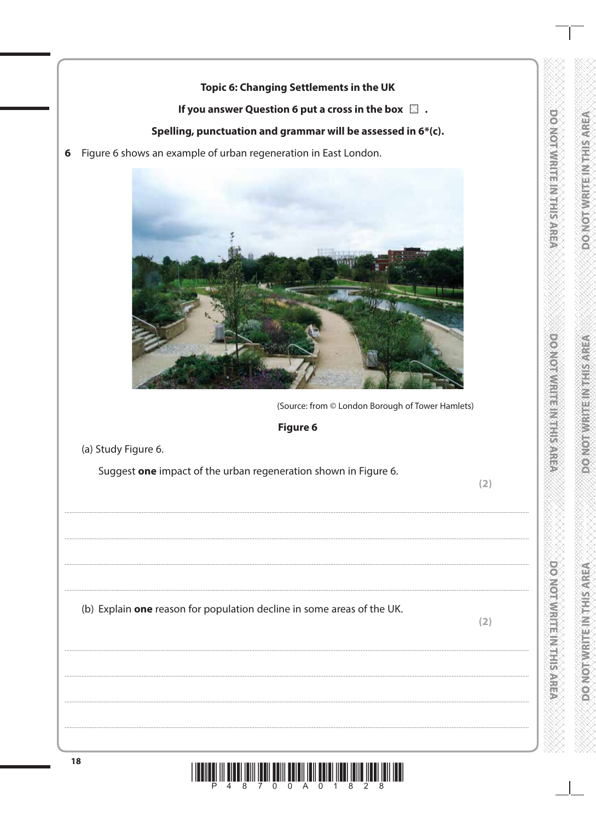



(Source: from © London Borough of Tower Hamlets)

#### Figure 6

(a) Study Figure 6.

Suggest one impact of the urban regeneration shown in Figure 6.

 $(2)$ 

(b) Explain one reason for population decline in some areas of the UK.

 $(2)$ 

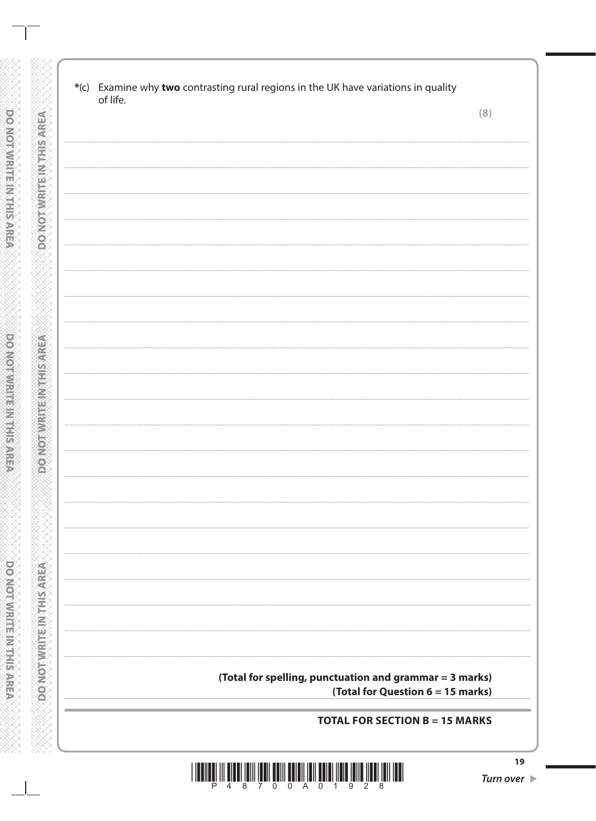| of life. |                                                         | (8)                               |
|----------|---------------------------------------------------------|-----------------------------------|
|          |                                                         |                                   |
|          |                                                         |                                   |
|          |                                                         |                                   |
|          |                                                         |                                   |
|          |                                                         |                                   |
|          |                                                         |                                   |
|          |                                                         |                                   |
|          |                                                         |                                   |
|          |                                                         |                                   |
|          |                                                         |                                   |
|          |                                                         |                                   |
|          |                                                         |                                   |
|          |                                                         |                                   |
|          |                                                         |                                   |
|          |                                                         |                                   |
|          |                                                         |                                   |
|          |                                                         |                                   |
|          |                                                         |                                   |
|          |                                                         |                                   |
|          |                                                         |                                   |
|          |                                                         |                                   |
|          |                                                         |                                   |
|          |                                                         |                                   |
|          | (Total for spelling, punctuation and grammar = 3 marks) |                                   |
|          |                                                         | (Total for Question 6 = 15 marks) |

DO NOTWRITE M THIS AREA

**DONOT WRITEINTHIS AREA** 

**DOMOTWRITEINTHISAREA** 

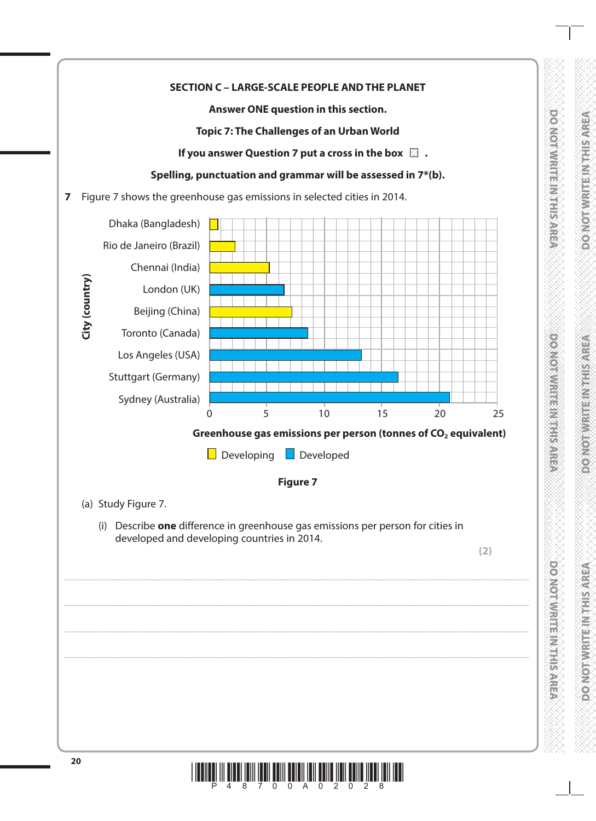### **SECTION C – LARGE-SCALE PEOPLE AND THE PLANET**

**Answer ONE question in this section.**

**Topic 7: The Challenges of an Urban World**

**If you answer Question 7 put a cross in the box**  $\Box$ **.** 

DOMOT WRITE MATHIS AREA

**DO NOT WRITE IN THE SARES** 

**DO NOINWARE INSTRUSTION** 

# **Spelling, punctuation and grammar will be assessed in 7\*(b).**

**7** Figure 7 shows the greenhouse gas emissions in selected cities in 2014.



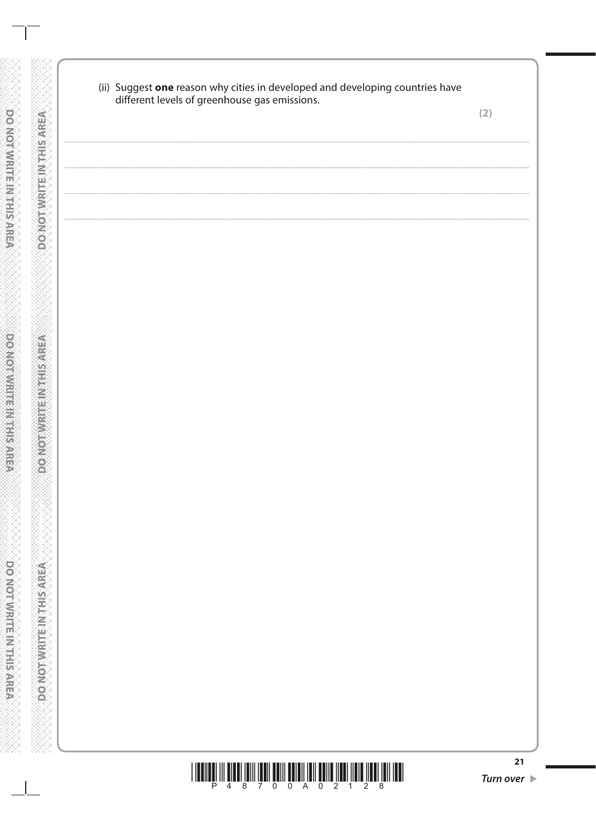| (ii) Suggest one reason why cities in developed and developing countries have<br>different levels of greenhouse gas emissions. |  |  | (2) |
|--------------------------------------------------------------------------------------------------------------------------------|--|--|-----|
|                                                                                                                                |  |  |     |
|                                                                                                                                |  |  |     |
|                                                                                                                                |  |  |     |
|                                                                                                                                |  |  |     |
|                                                                                                                                |  |  |     |
|                                                                                                                                |  |  |     |
|                                                                                                                                |  |  |     |
|                                                                                                                                |  |  |     |
|                                                                                                                                |  |  |     |
|                                                                                                                                |  |  |     |
|                                                                                                                                |  |  |     |
|                                                                                                                                |  |  |     |
|                                                                                                                                |  |  |     |
|                                                                                                                                |  |  |     |
|                                                                                                                                |  |  |     |
|                                                                                                                                |  |  |     |

**DO NOT WRITE IN THIS AREA** 

**DONOTWRITEINTHISAREA** 

**DO NOT WRITE IN THIS AREA** 

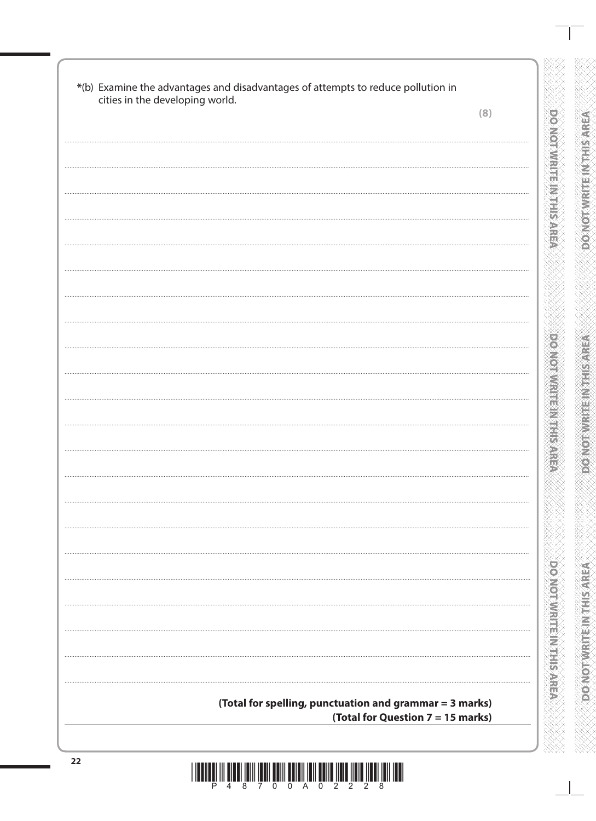| cities in the developing world. | *(b) Examine the advantages and disadvantages of attempts to reduce pollution in             |     |
|---------------------------------|----------------------------------------------------------------------------------------------|-----|
|                                 |                                                                                              | (8) |
|                                 |                                                                                              |     |
|                                 |                                                                                              |     |
|                                 |                                                                                              |     |
|                                 |                                                                                              |     |
|                                 |                                                                                              |     |
|                                 |                                                                                              |     |
|                                 |                                                                                              |     |
|                                 |                                                                                              |     |
|                                 |                                                                                              |     |
|                                 |                                                                                              |     |
|                                 |                                                                                              |     |
|                                 |                                                                                              |     |
|                                 |                                                                                              |     |
|                                 |                                                                                              |     |
|                                 |                                                                                              |     |
|                                 |                                                                                              |     |
|                                 |                                                                                              |     |
|                                 |                                                                                              |     |
|                                 |                                                                                              |     |
|                                 |                                                                                              |     |
|                                 |                                                                                              |     |
|                                 |                                                                                              |     |
|                                 |                                                                                              |     |
|                                 |                                                                                              |     |
|                                 |                                                                                              |     |
|                                 |                                                                                              |     |
|                                 |                                                                                              |     |
|                                 |                                                                                              |     |
|                                 |                                                                                              |     |
|                                 | (Total for spelling, punctuation and grammar = 3 marks)<br>(Total for Question 7 = 15 marks) |     |

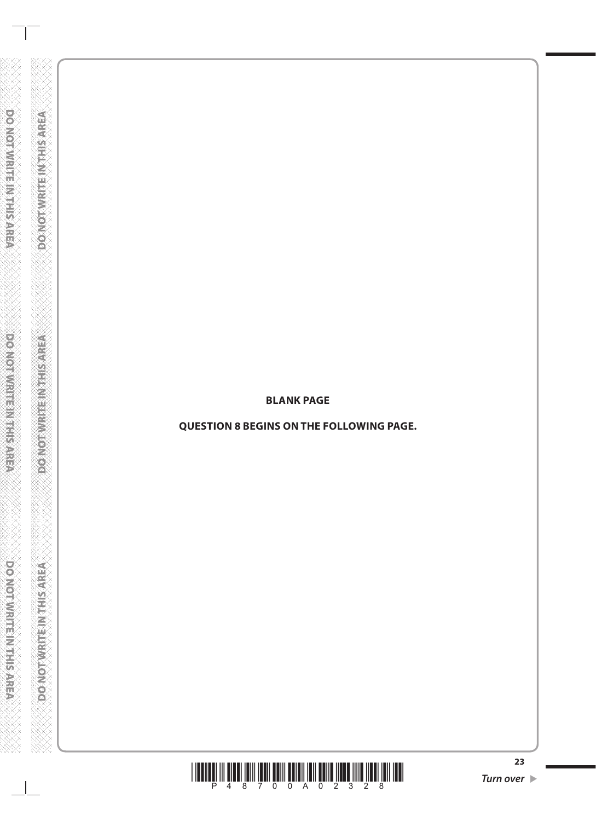# **DO NOT WRITE IN THIS AREA**

**DOMOTWRITEINTHISMREA** 

DO NOT WRITE IN THIS AREA

**BLANK PAGE**

**QUESTION 8 BEGINS ON THE FOLLOWING PAGE.**

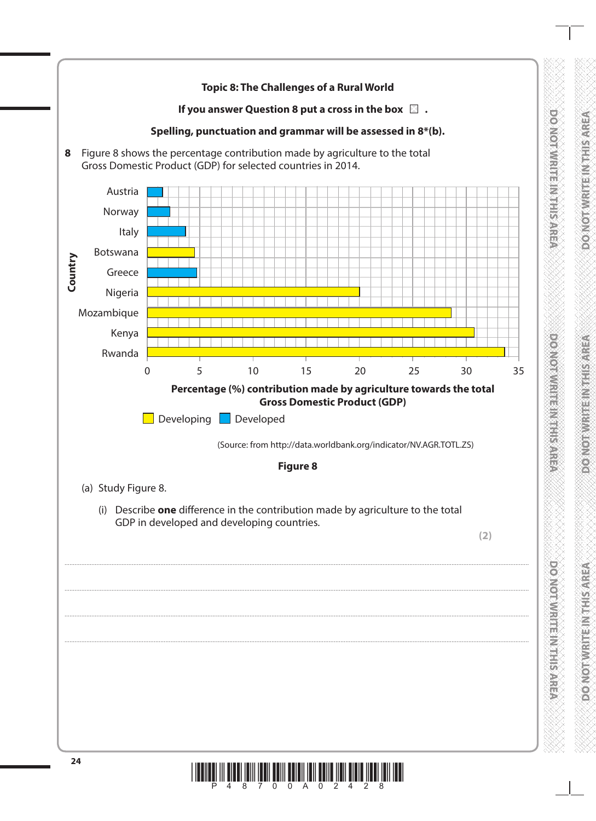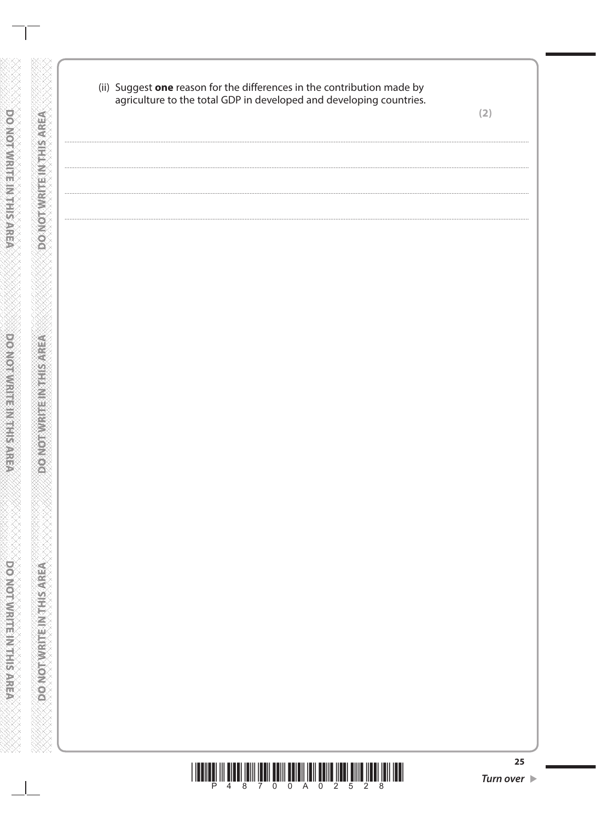| (ii) Suggest one reason for the differences in the contribution made by<br>agriculture to the total GDP in developed and developing countries. | (2) |
|------------------------------------------------------------------------------------------------------------------------------------------------|-----|
|                                                                                                                                                |     |
|                                                                                                                                                |     |
|                                                                                                                                                |     |
|                                                                                                                                                |     |
|                                                                                                                                                |     |
|                                                                                                                                                |     |
|                                                                                                                                                |     |
|                                                                                                                                                |     |
|                                                                                                                                                |     |
|                                                                                                                                                |     |
|                                                                                                                                                |     |
|                                                                                                                                                |     |
|                                                                                                                                                |     |
|                                                                                                                                                |     |
|                                                                                                                                                |     |
|                                                                                                                                                |     |
|                                                                                                                                                |     |
|                                                                                                                                                |     |
|                                                                                                                                                |     |
|                                                                                                                                                |     |
|                                                                                                                                                |     |
|                                                                                                                                                |     |
|                                                                                                                                                |     |
|                                                                                                                                                |     |
|                                                                                                                                                |     |
|                                                                                                                                                |     |
|                                                                                                                                                |     |
|                                                                                                                                                |     |
|                                                                                                                                                |     |

**DO NOT WRITE IN THIS AREA** 

**DONOTWRITEINTHIS AREA** 

**DONOTWRITEINTHISAREA**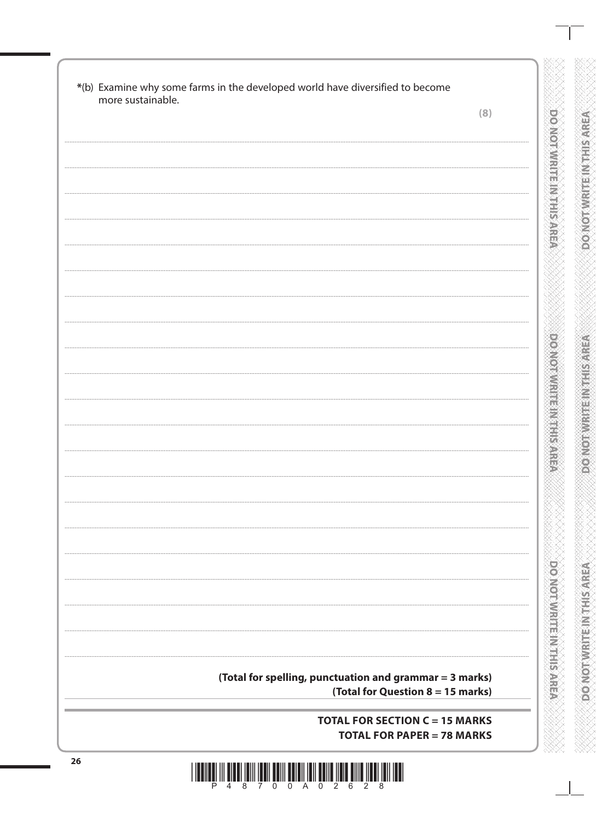| more sustainable. |                                                                            |
|-------------------|----------------------------------------------------------------------------|
|                   | (8)                                                                        |
|                   |                                                                            |
|                   |                                                                            |
|                   |                                                                            |
|                   |                                                                            |
|                   |                                                                            |
|                   |                                                                            |
|                   |                                                                            |
|                   |                                                                            |
|                   |                                                                            |
|                   |                                                                            |
|                   |                                                                            |
|                   |                                                                            |
|                   |                                                                            |
|                   |                                                                            |
|                   |                                                                            |
|                   |                                                                            |
|                   |                                                                            |
|                   |                                                                            |
|                   |                                                                            |
|                   |                                                                            |
|                   |                                                                            |
|                   |                                                                            |
|                   |                                                                            |
|                   |                                                                            |
|                   |                                                                            |
|                   |                                                                            |
|                   |                                                                            |
|                   |                                                                            |
|                   |                                                                            |
|                   |                                                                            |
|                   | (Total for spelling, punctuation and grammar = 3 marks)                    |
|                   | (Total for Question 8 = 15 marks)                                          |
|                   |                                                                            |
|                   | <b>TOTAL FOR SECTION C = 15 MARKS</b><br><b>TOTAL FOR PAPER = 78 MARKS</b> |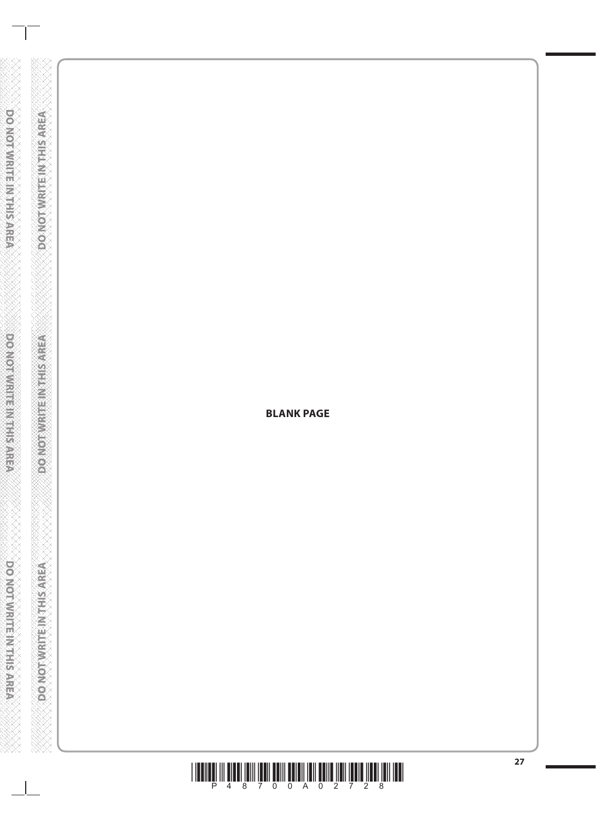

**DONOTWRITEINTHISAREA XXXXXXXXXXXXXXXXXXXXXXXXXXXXX** 

**BLANK PAGE**